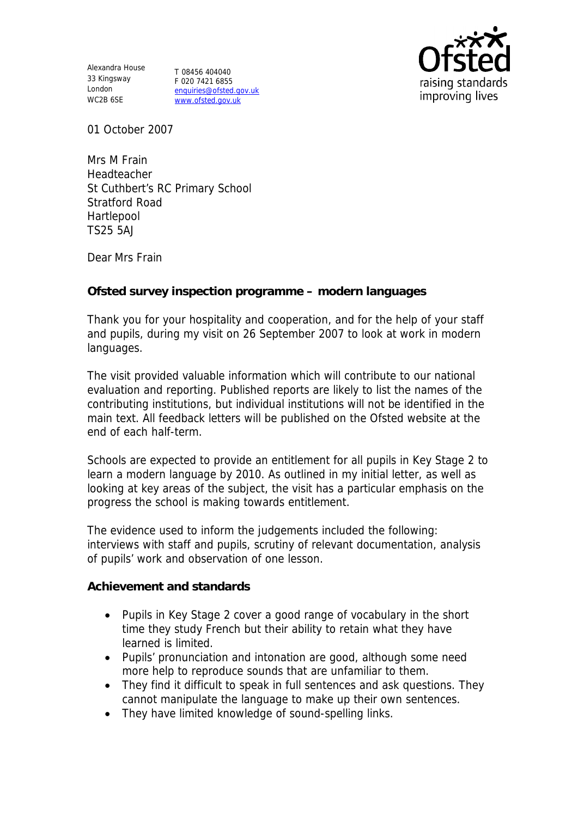Alexandra House 33 Kingsway London WC2B 6SE

T 08456 404040 F 020 7421 6855 enquiries@ofsted.gov.uk www.ofsted.gov.uk



01 October 2007

Mrs M Frain Headteacher St Cuthbert's RC Primary School Stratford Road Hartlepool TS25 5AJ

Dear Mrs Frain

**Ofsted survey inspection programme – modern languages**

Thank you for your hospitality and cooperation, and for the help of your staff and pupils, during my visit on 26 September 2007 to look at work in modern languages.

The visit provided valuable information which will contribute to our national evaluation and reporting. Published reports are likely to list the names of the contributing institutions, but individual institutions will not be identified in the main text. All feedback letters will be published on the Ofsted website at the end of each half-term.

Schools are expected to provide an entitlement for all pupils in Key Stage 2 to learn a modern language by 2010. As outlined in my initial letter, as well as looking at key areas of the subject, the visit has a particular emphasis on the progress the school is making towards entitlement.

The evidence used to inform the judgements included the following: interviews with staff and pupils, scrutiny of relevant documentation, analysis of pupils' work and observation of one lesson.

**Achievement and standards**

- Pupils in Key Stage 2 cover a good range of vocabulary in the short time they study French but their ability to retain what they have learned is limited.
- Pupils' pronunciation and intonation are good, although some need more help to reproduce sounds that are unfamiliar to them.
- They find it difficult to speak in full sentences and ask questions. They cannot manipulate the language to make up their own sentences.
- They have limited knowledge of sound-spelling links.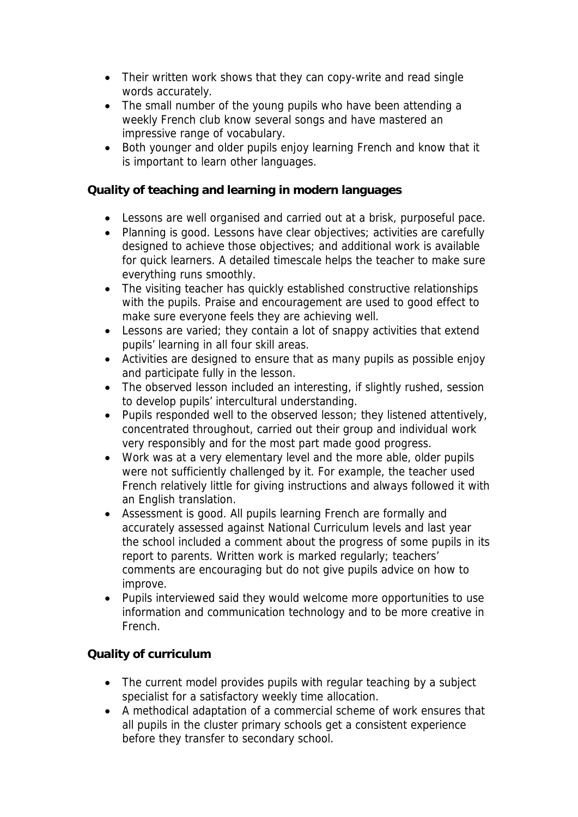- Their written work shows that they can copy-write and read single words accurately.
- The small number of the young pupils who have been attending a weekly French club know several songs and have mastered an impressive range of vocabulary.
- Both younger and older pupils enjoy learning French and know that it is important to learn other languages.

**Quality of teaching and learning in modern languages**

- Lessons are well organised and carried out at a brisk, purposeful pace.
- Planning is good. Lessons have clear objectives; activities are carefully designed to achieve those objectives; and additional work is available for quick learners. A detailed timescale helps the teacher to make sure everything runs smoothly.
- The visiting teacher has quickly established constructive relationships with the pupils. Praise and encouragement are used to good effect to make sure everyone feels they are achieving well.
- Lessons are varied; they contain a lot of snappy activities that extend pupils' learning in all four skill areas.
- Activities are designed to ensure that as many pupils as possible enjoy and participate fully in the lesson.
- The observed lesson included an interesting, if slightly rushed, session to develop pupils' intercultural understanding.
- Pupils responded well to the observed lesson; they listened attentively, concentrated throughout, carried out their group and individual work very responsibly and for the most part made good progress.
- Work was at a very elementary level and the more able, older pupils were not sufficiently challenged by it. For example, the teacher used French relatively little for giving instructions and always followed it with an English translation.
- Assessment is good. All pupils learning French are formally and accurately assessed against National Curriculum levels and last year the school included a comment about the progress of some pupils in its report to parents. Written work is marked regularly; teachers' comments are encouraging but do not give pupils advice on how to improve.
- Pupils interviewed said they would welcome more opportunities to use information and communication technology and to be more creative in French.

## **Quality of curriculum**

- The current model provides pupils with regular teaching by a subject specialist for a satisfactory weekly time allocation.
- A methodical adaptation of a commercial scheme of work ensures that all pupils in the cluster primary schools get a consistent experience before they transfer to secondary school.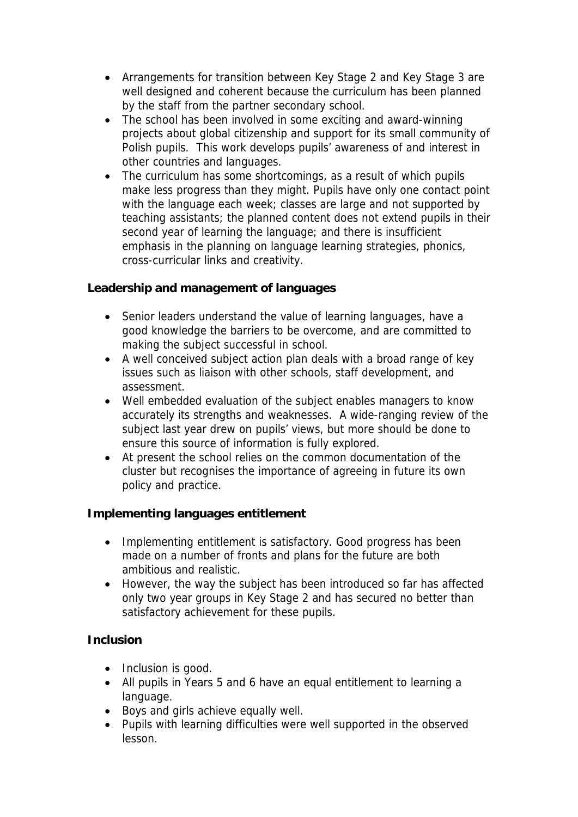- Arrangements for transition between Key Stage 2 and Key Stage 3 are well designed and coherent because the curriculum has been planned by the staff from the partner secondary school.
- The school has been involved in some exciting and award-winning projects about global citizenship and support for its small community of Polish pupils. This work develops pupils' awareness of and interest in other countries and languages.
- The curriculum has some shortcomings, as a result of which pupils make less progress than they might. Pupils have only one contact point with the language each week; classes are large and not supported by teaching assistants; the planned content does not extend pupils in their second year of learning the language; and there is insufficient emphasis in the planning on language learning strategies, phonics, cross-curricular links and creativity.

**Leadership and management of languages** 

- Senior leaders understand the value of learning languages, have a good knowledge the barriers to be overcome, and are committed to making the subject successful in school.
- A well conceived subject action plan deals with a broad range of key issues such as liaison with other schools, staff development, and assessment.
- Well embedded evaluation of the subject enables managers to know accurately its strengths and weaknesses. A wide-ranging review of the subject last year drew on pupils' views, but more should be done to ensure this source of information is fully explored.
- At present the school relies on the common documentation of the cluster but recognises the importance of agreeing in future its own policy and practice.

**Implementing languages entitlement**

- Implementing entitlement is satisfactory. Good progress has been made on a number of fronts and plans for the future are both ambitious and realistic.
- However, the way the subject has been introduced so far has affected only two year groups in Key Stage 2 and has secured no better than satisfactory achievement for these pupils.

**Inclusion**

- Inclusion is good.
- All pupils in Years 5 and 6 have an equal entitlement to learning a language.
- Boys and girls achieve equally well.
- Pupils with learning difficulties were well supported in the observed lesson.